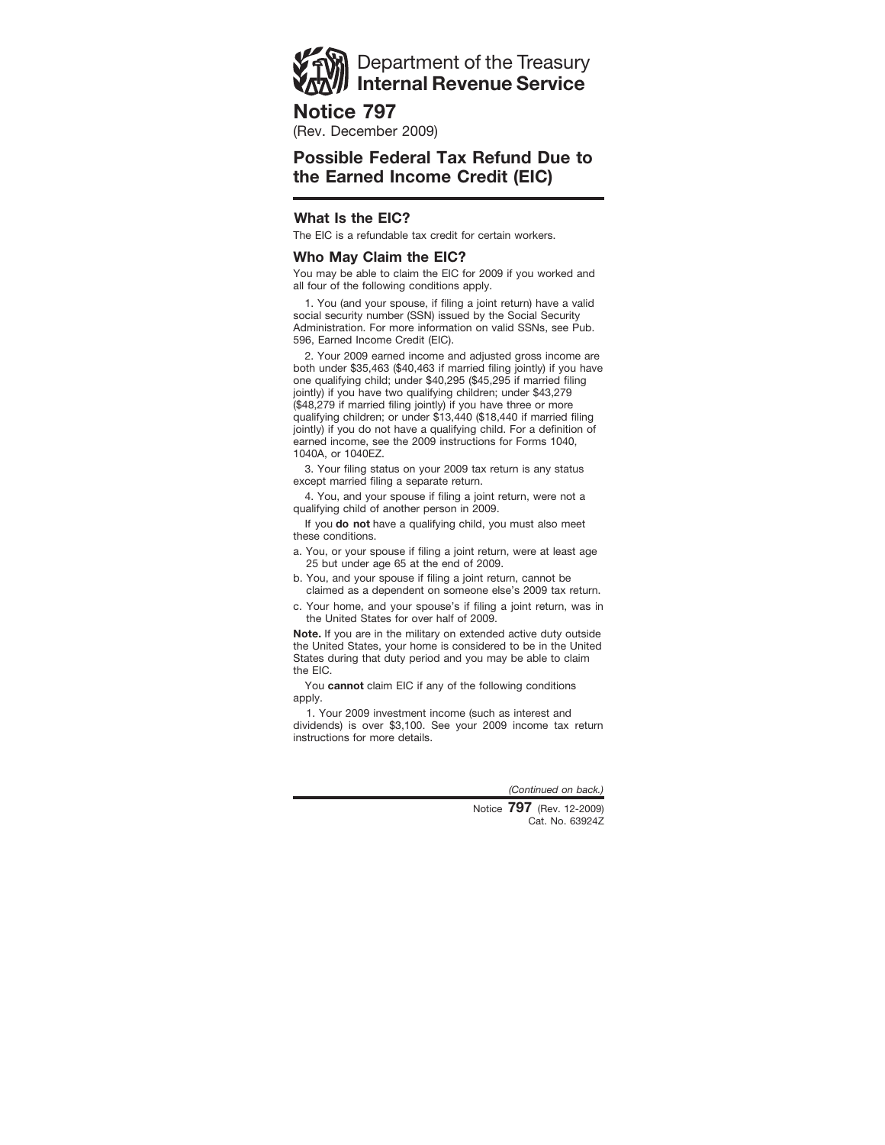# Department of the Treasury **Internal Revenue Service**

**Notice 797**

(Rev. December 2009)

## **Possible Federal Tax Refund Due to the Earned Income Credit (EIC)**

## **What Is the EIC?**

The EIC is a refundable tax credit for certain workers.

#### **Who May Claim the EIC?**

You may be able to claim the EIC for 2009 if you worked and all four of the following conditions apply.

1. You (and your spouse, if filing a joint return) have a valid social security number (SSN) issued by the Social Security Administration. For more information on valid SSNs, see Pub. 596, Earned Income Credit (EIC).

2. Your 2009 earned income and adjusted gross income are both under \$35,463 (\$40,463 if married filing jointly) if you have one qualifying child; under \$40,295 (\$45,295 if married filing jointly) if you have two qualifying children; under \$43,279 (\$48,279 if married filing jointly) if you have three or more qualifying children; or under \$13,440 (\$18,440 if married filing jointly) if you do not have a qualifying child. For a definition of earned income, see the 2009 instructions for Forms 1040, 1040A, or 1040EZ.

3. Your filing status on your 2009 tax return is any status except married filing a separate return.

4. You, and your spouse if filing a joint return, were not a qualifying child of another person in 2009.

If you **do not** have a qualifying child, you must also meet these conditions.

a. You, or your spouse if filing a joint return, were at least age 25 but under age 65 at the end of 2009.

b. You, and your spouse if filing a joint return, cannot be claimed as a dependent on someone else's 2009 tax return.

c. Your home, and your spouse's if filing a joint return, was in the United States for over half of 2009.

**Note.** If you are in the military on extended active duty outside the United States, your home is considered to be in the United States during that duty period and you may be able to claim the EIC.

You **cannot** claim EIC if any of the following conditions apply.

1. Your 2009 investment income (such as interest and dividends) is over \$3,100. See your 2009 income tax return instructions for more details.

*(Continued on back.)*

Cat. No. 63924Z Notice **797** (Rev. 12-2009)